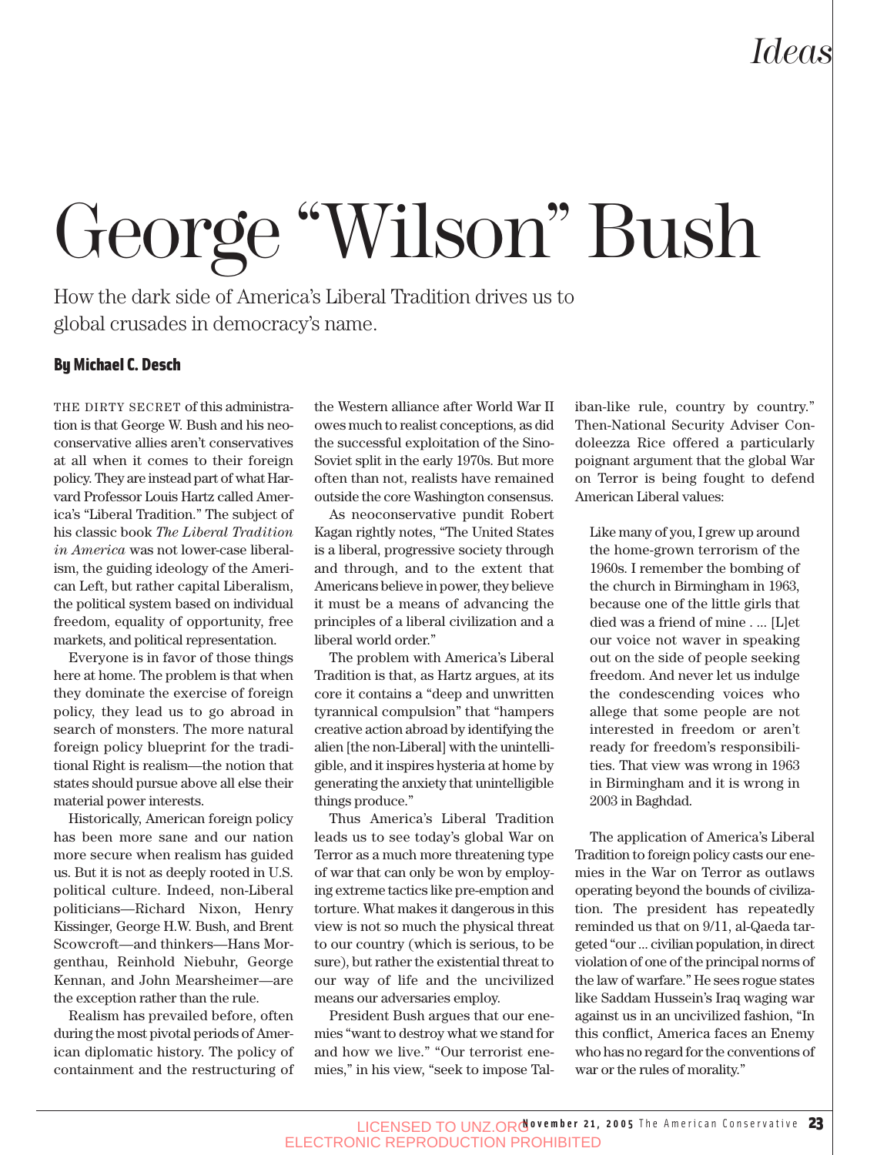# *Ideas*

# George "Wilson" Bush

How the dark side of America's Liberal Tradition drives us to global crusades in democracy's name.

#### By Michael C. Desch

THE DIRTY SECRET of this administration is that George W. Bush and his neoconservative allies aren't conservatives at all when it comes to their foreign policy. They are instead part of what Harvard Professor Louis Hartz called America's "Liberal Tradition." The subject of his classic book *The Liberal Tradition in America* was not lower-case liberalism, the guiding ideology of the American Left, but rather capital Liberalism, the political system based on individual freedom, equality of opportunity, free markets, and political representation.

Everyone is in favor of those things here at home. The problem is that when they dominate the exercise of foreign policy, they lead us to go abroad in search of monsters. The more natural foreign policy blueprint for the traditional Right is realism—the notion that states should pursue above all else their material power interests.

Historically, American foreign policy has been more sane and our nation more secure when realism has guided us. But it is not as deeply rooted in U.S. political culture. Indeed, non-Liberal politicians—Richard Nixon, Henry Kissinger, George H.W. Bush, and Brent Scowcroft—and thinkers—Hans Morgenthau, Reinhold Niebuhr, George Kennan, and John Mearsheimer—are the exception rather than the rule.

Realism has prevailed before, often during the most pivotal periods of American diplomatic history. The policy of containment and the restructuring of the Western alliance after World War II owes much to realist conceptions, as did the successful exploitation of the Sino-Soviet split in the early 1970s. But more often than not, realists have remained outside the core Washington consensus.

As neoconservative pundit Robert Kagan rightly notes, "The United States is a liberal, progressive society through and through, and to the extent that Americans believe in power, they believe it must be a means of advancing the principles of a liberal civilization and a liberal world order."

The problem with America's Liberal Tradition is that, as Hartz argues, at its core it contains a "deep and unwritten tyrannical compulsion" that "hampers creative action abroad by identifying the alien [the non-Liberal] with the unintelligible, and it inspires hysteria at home by generating the anxiety that unintelligible things produce."

Thus America's Liberal Tradition leads us to see today's global War on Terror as a much more threatening type of war that can only be won by employing extreme tactics like pre-emption and torture. What makes it dangerous in this view is not so much the physical threat to our country (which is serious, to be sure), but rather the existential threat to our way of life and the uncivilized means our adversaries employ.

President Bush argues that our enemies "want to destroy what we stand for and how we live." "Our terrorist enemies," in his view, "seek to impose Taliban-like rule, country by country." Then-National Security Adviser Condoleezza Rice offered a particularly poignant argument that the global War on Terror is being fought to defend American Liberal values:

Like many of you, I grew up around the home-grown terrorism of the 1960s. I remember the bombing of the church in Birmingham in 1963, because one of the little girls that died was a friend of mine . ... [L]et our voice not waver in speaking out on the side of people seeking freedom. And never let us indulge the condescending voices who allege that some people are not interested in freedom or aren't ready for freedom's responsibilities. That view was wrong in 1963 in Birmingham and it is wrong in 2003 in Baghdad.

The application of America's Liberal Tradition to foreign policy casts our enemies in the War on Terror as outlaws operating beyond the bounds of civilization. The president has repeatedly reminded us that on 9/11, al-Qaeda targeted "our ... civilian population, in direct violation of one of the principal norms of the law of warfare." He sees rogue states like Saddam Hussein's Iraq waging war against us in an uncivilized fashion, "In this conflict, America faces an Enemy who has no regard for the conventions of war or the rules of morality."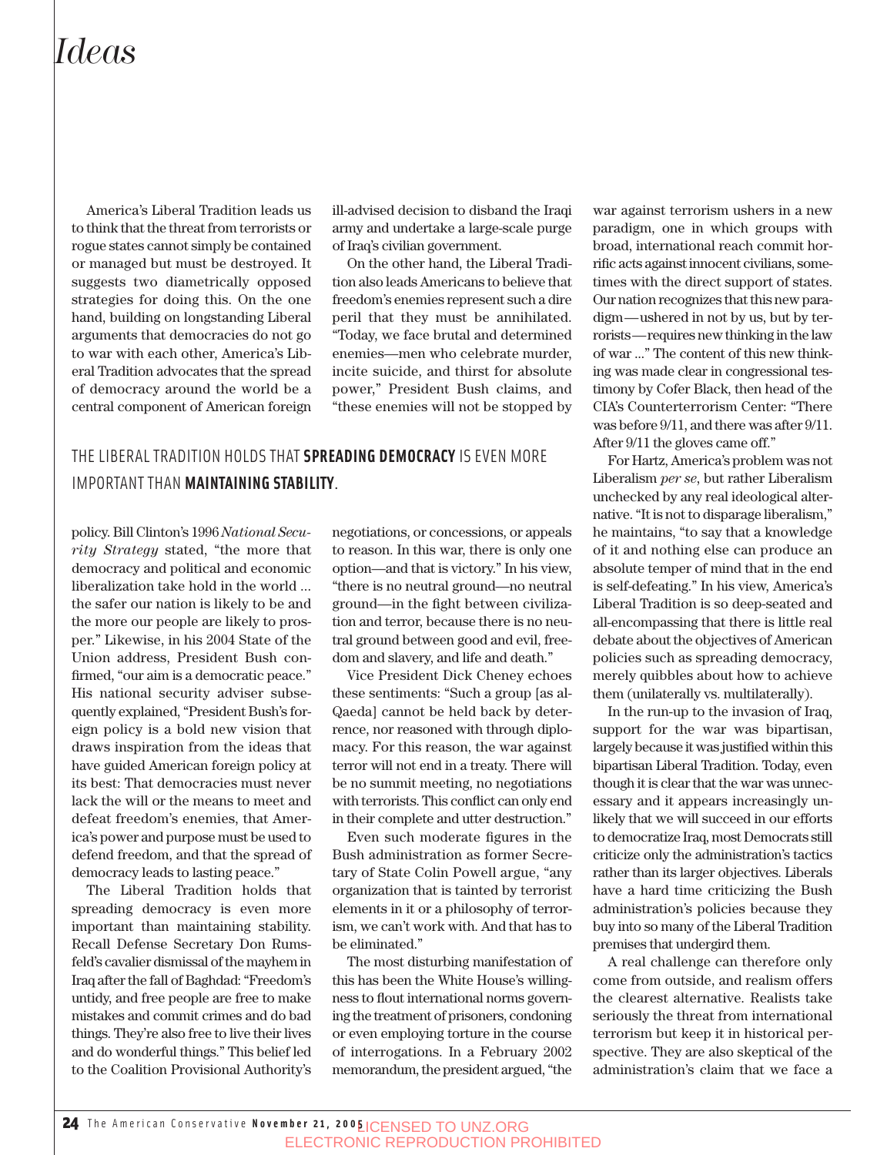## *Ideas*

America's Liberal Tradition leads us to think that the threat from terrorists or rogue states cannot simply be contained or managed but must be destroyed. It suggests two diametrically opposed strategies for doing this. On the one hand, building on longstanding Liberal arguments that democracies do not go to war with each other, America's Liberal Tradition advocates that the spread of democracy around the world be a central component of American foreign

ill-advised decision to disband the Iraqi army and undertake a large-scale purge of Iraq's civilian government.

On the other hand, the Liberal Tradition also leads Americans to believe that freedom's enemies represent such a dire peril that they must be annihilated. "Today, we face brutal and determined enemies—men who celebrate murder, incite suicide, and thirst for absolute power," President Bush claims, and "these enemies will not be stopped by

### THE LIBERAL TRADITION HOLDS THAT **SPREADING DEMOCRACY** IS EVEN MORE IMPORTANT THAN **MAINTAINING STABILITY**.

policy. Bill Clinton's 1996 *National Security Strategy* stated, "the more that democracy and political and economic liberalization take hold in the world ... the safer our nation is likely to be and the more our people are likely to prosper." Likewise, in his 2004 State of the Union address, President Bush confirmed, "our aim is a democratic peace." His national security adviser subsequently explained, "President Bush's foreign policy is a bold new vision that draws inspiration from the ideas that have guided American foreign policy at its best: That democracies must never lack the will or the means to meet and defeat freedom's enemies, that America's power and purpose must be used to defend freedom, and that the spread of democracy leads to lasting peace."

The Liberal Tradition holds that spreading democracy is even more important than maintaining stability. Recall Defense Secretary Don Rumsfeld's cavalier dismissal of the mayhem in Iraq after the fall of Baghdad: "Freedom's untidy, and free people are free to make mistakes and commit crimes and do bad things. They're also free to live their lives and do wonderful things." This belief led to the Coalition Provisional Authority's

negotiations, or concessions, or appeals to reason. In this war, there is only one option—and that is victory." In his view, "there is no neutral ground—no neutral ground—in the fight between civilization and terror, because there is no neutral ground between good and evil, freedom and slavery, and life and death."

Vice President Dick Cheney echoes these sentiments: "Such a group [as al-Qaeda] cannot be held back by deterrence, nor reasoned with through diplomacy. For this reason, the war against terror will not end in a treaty. There will be no summit meeting, no negotiations with terrorists. This conflict can only end in their complete and utter destruction."

Even such moderate figures in the Bush administration as former Secretary of State Colin Powell argue, "any organization that is tainted by terrorist elements in it or a philosophy of terrorism, we can't work with. And that has to be eliminated."

The most disturbing manifestation of this has been the White House's willingness to flout international norms governing the treatment of prisoners, condoning or even employing torture in the course of interrogations. In a February 2002 memorandum, the president argued, "the

war against terrorism ushers in a new paradigm, one in which groups with broad, international reach commit horrific acts against innocent civilians, sometimes with the direct support of states. Our nation recognizes that this new paradigm—ushered in not by us, but by terrorists—requires new thinking in the law of war ..." The content of this new thinking was made clear in congressional testimony by Cofer Black, then head of the CIA's Counterterrorism Center: "There was before 9/11, and there was after 9/11. After 9/11 the gloves came off."

For Hartz, America's problem was not Liberalism *per se*, but rather Liberalism unchecked by any real ideological alternative. "It is not to disparage liberalism," he maintains, "to say that a knowledge of it and nothing else can produce an absolute temper of mind that in the end is self-defeating." In his view, America's Liberal Tradition is so deep-seated and all-encompassing that there is little real debate about the objectives of American policies such as spreading democracy, merely quibbles about how to achieve them (unilaterally vs. multilaterally).

In the run-up to the invasion of Iraq, support for the war was bipartisan, largely because it was justified within this bipartisan Liberal Tradition. Today, even though it is clear that the war was unnecessary and it appears increasingly unlikely that we will succeed in our efforts to democratize Iraq, most Democrats still criticize only the administration's tactics rather than its larger objectives. Liberals have a hard time criticizing the Bush administration's policies because they buy into so many of the Liberal Tradition premises that undergird them.

A real challenge can therefore only come from outside, and realism offers the clearest alternative. Realists take seriously the threat from international terrorism but keep it in historical perspective. They are also skeptical of the administration's claim that we face a